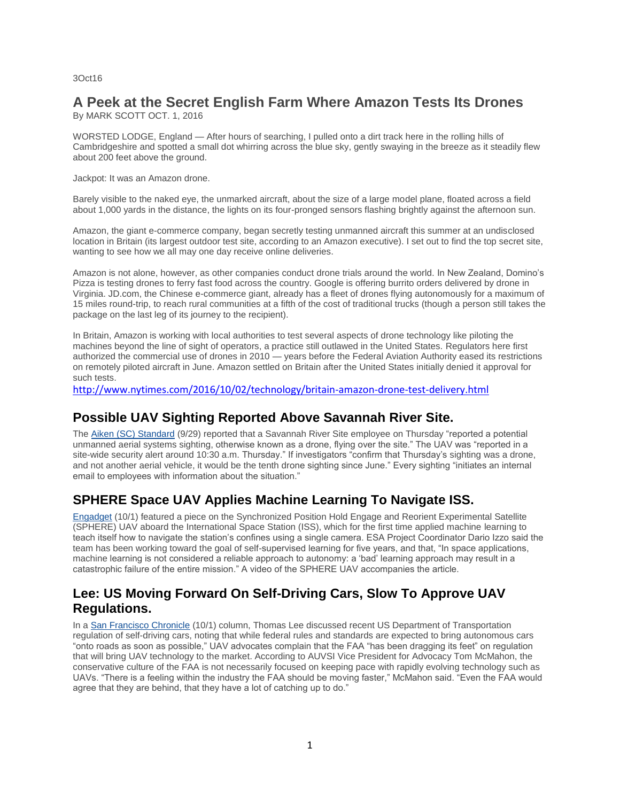3Oct16

## **A Peek at the Secret English Farm Where Amazon Tests Its Drones**

By MARK SCOTT OCT. 1, 2016

WORSTED LODGE, England — After hours of searching, I pulled onto a dirt track here in the rolling hills of Cambridgeshire and spotted a small dot whirring across the blue sky, gently swaying in the breeze as it steadily flew about 200 feet above the ground.

Jackpot: It was an Amazon drone.

Barely visible to the naked eye, the unmarked aircraft, about the size of a large model plane, floated across a field about 1,000 yards in the distance, the lights on its four-pronged sensors flashing brightly against the afternoon sun.

Amazon, the giant e-commerce company, began secretly testing unmanned aircraft this summer at an undisclosed location in Britain (its largest outdoor test site, according to an Amazon executive). I set out to find the top secret site, wanting to see how we all may one day receive online deliveries.

Amazon is not alone, however, as other companies conduct drone trials around the world. In New Zealand, Domino's Pizza is testing drones to ferry fast food across the country. Google is offering burrito orders delivered by drone in Virginia. JD.com, the Chinese e-commerce giant, already has a fleet of drones flying autonomously for a maximum of 15 miles round-trip, to reach rural communities at a fifth of the cost of traditional trucks (though a person still takes the package on the last leg of its journey to the recipient).

In Britain, Amazon is working with local authorities to test several aspects of drone technology like piloting the machines beyond the line of sight of operators, a practice still outlawed in the United States. Regulators here first authorized the commercial use of drones in 2010 — years before the Federal Aviation Authority eased its restrictions on remotely piloted aircraft in June. Amazon settled on Britain after the United States initially denied it approval for such tests.

<http://www.nytimes.com/2016/10/02/technology/britain-amazon-drone-test-delivery.html>

#### **Possible UAV Sighting Reported Above Savannah River Site.**

The [Aiken \(SC\) Standard](http://mailview.bulletinmedia.com/mailview.aspx?m=2016100301aiaa&r=2980706-d324&l=005-3e1&t=c) (9/29) reported that a Savannah River Site employee on Thursday "reported a potential unmanned aerial systems sighting, otherwise known as a drone, flying over the site." The UAV was "reported in a site-wide security alert around 10:30 a.m. Thursday." If investigators "confirm that Thursday's sighting was a drone, and not another aerial vehicle, it would be the tenth drone sighting since June." Every sighting "initiates an internal email to employees with information about the situation."

### **SPHERE Space UAV Applies Machine Learning To Navigate ISS.**

[Engadget](http://mailview.bulletinmedia.com/mailview.aspx?m=2016100301aiaa&r=2980706-d324&l=018-c8b&t=c) (10/1) featured a piece on the Synchronized Position Hold Engage and Reorient Experimental Satellite (SPHERE) UAV aboard the International Space Station (ISS), which for the first time applied machine learning to teach itself how to navigate the station's confines using a single camera. ESA Project Coordinator Dario Izzo said the team has been working toward the goal of self-supervised learning for five years, and that, "In space applications, machine learning is not considered a reliable approach to autonomy: a 'bad' learning approach may result in a catastrophic failure of the entire mission." A video of the SPHERE UAV accompanies the article.

#### **Lee: US Moving Forward On Self-Driving Cars, Slow To Approve UAV Regulations.**

In a [San Francisco Chronicle](http://mailview.bulletinmedia.com/mailview.aspx?m=2016100301aiaa&r=2980706-d324&l=022-228&t=c) (10/1) column, Thomas Lee discussed recent US Department of Transportation regulation of self-driving cars, noting that while federal rules and standards are expected to bring autonomous cars "onto roads as soon as possible," UAV advocates complain that the FAA "has been dragging its feet" on regulation that will bring UAV technology to the market. According to AUVSI Vice President for Advocacy Tom McMahon, the conservative culture of the FAA is not necessarily focused on keeping pace with rapidly evolving technology such as UAVs. "There is a feeling within the industry the FAA should be moving faster," McMahon said. "Even the FAA would agree that they are behind, that they have a lot of catching up to do."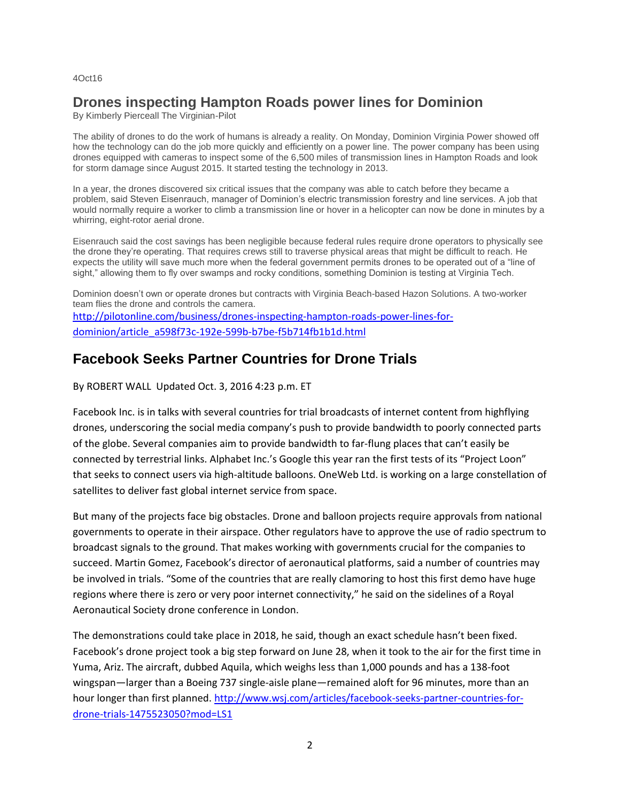#### 4Oct16

#### **Drones inspecting Hampton Roads power lines for Dominion**

By Kimberly Pierceall The Virginian-Pilot

The ability of drones to do the work of humans is already a reality. On Monday, Dominion Virginia Power showed off how the technology can do the job more quickly and efficiently on a power line. The power company has been using drones equipped with cameras to inspect some of the 6,500 miles of transmission lines in Hampton Roads and look for storm damage since August 2015. It started testing the technology in 2013.

In a year, the drones discovered six critical issues that the company was able to catch before they became a problem, said Steven Eisenrauch, manager of Dominion's electric transmission forestry and line services. A job that would normally require a worker to climb a transmission line or hover in a helicopter can now be done in minutes by a whirring, eight-rotor aerial drone.

Eisenrauch said the cost savings has been negligible because federal rules require drone operators to physically see the drone they're operating. That requires crews still to traverse physical areas that might be difficult to reach. He expects the utility will save much more when the federal government permits drones to be operated out of a "line of sight," allowing them to fly over swamps and rocky conditions, something Dominion is testing at Virginia Tech.

Dominion doesn't own or operate drones but contracts with Virginia Beach-based Hazon Solutions. A two-worker team flies the drone and controls the camera. [http://pilotonline.com/business/drones-inspecting-hampton-roads-power-lines-for](http://pilotonline.com/business/drones-inspecting-hampton-roads-power-lines-for-dominion/article_a598f73c-192e-599b-b7be-f5b714fb1b1d.html)[dominion/article\\_a598f73c-192e-599b-b7be-f5b714fb1b1d.html](http://pilotonline.com/business/drones-inspecting-hampton-roads-power-lines-for-dominion/article_a598f73c-192e-599b-b7be-f5b714fb1b1d.html)

# **Facebook Seeks Partner Countries for Drone Trials**

By ROBERT WALL Updated Oct. 3, 2016 4:23 p.m. ET

Facebook Inc. is in talks with several countries for trial broadcasts of internet content from highflying drones, underscoring the social media company's push to provide bandwidth to poorly connected parts of the globe. Several companies aim to provide bandwidth to far-flung places that can't easily be connected by terrestrial links. Alphabet Inc.'s Google this year ran the first tests of its "Project Loon" that seeks to connect users via high-altitude balloons. OneWeb Ltd. is working on a large constellation of satellites to deliver fast global internet service from space.

But many of the projects face big obstacles. Drone and balloon projects require approvals from national governments to operate in their airspace. Other regulators have to approve the use of radio spectrum to broadcast signals to the ground. That makes working with governments crucial for the companies to succeed. Martin Gomez, Facebook's director of aeronautical platforms, said a number of countries may be involved in trials. "Some of the countries that are really clamoring to host this first demo have huge regions where there is zero or very poor internet connectivity," he said on the sidelines of a Royal Aeronautical Society drone conference in London.

The demonstrations could take place in 2018, he said, though an exact schedule hasn't been fixed. Facebook's drone project took a big step forward on June 28, when it took to the air for the first time in Yuma, Ariz. The aircraft, dubbed Aquila, which weighs less than 1,000 pounds and has a 138-foot wingspan—larger than a Boeing 737 single-aisle plane—remained aloft for 96 minutes, more than an hour longer than first planned[. http://www.wsj.com/articles/facebook-seeks-partner-countries-for](http://www.wsj.com/articles/facebook-seeks-partner-countries-for-drone-trials-1475523050?mod=LS1)[drone-trials-1475523050?mod=LS1](http://www.wsj.com/articles/facebook-seeks-partner-countries-for-drone-trials-1475523050?mod=LS1)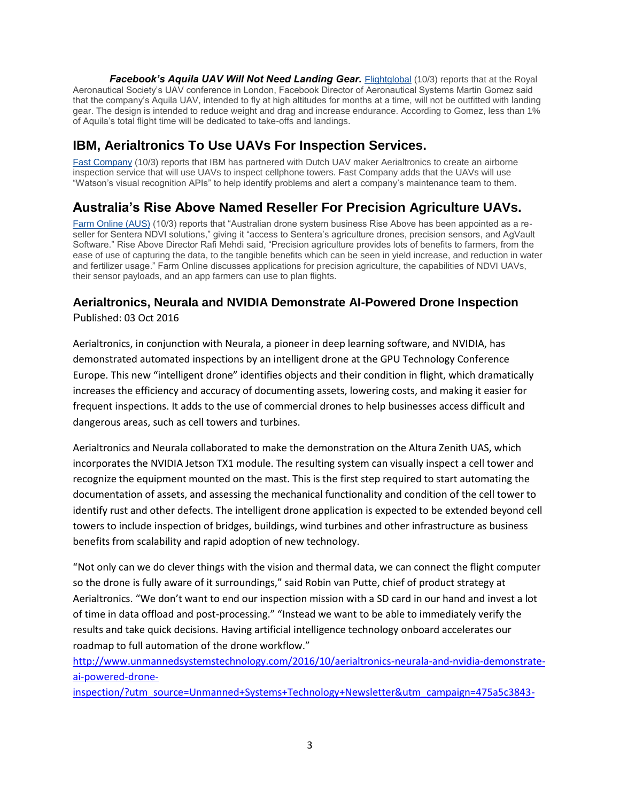Facebook's Aquila UAV Will Not Need Landing Gear. [Flightglobal](http://mailview.bulletinmedia.com/mailview.aspx?m=2016100401aiaa&r=2980706-881d&l=005-b2c&t=c) (10/3) reports that at the Royal Aeronautical Society's UAV conference in London, Facebook Director of Aeronautical Systems Martin Gomez said that the company's Aquila UAV, intended to fly at high altitudes for months at a time, will not be outfitted with landing gear. The design is intended to reduce weight and drag and increase endurance. According to Gomez, less than 1% of Aquila's total flight time will be dedicated to take-offs and landings.

## **IBM, Aerialtronics To Use UAVs For Inspection Services.**

[Fast Company](http://mailview.bulletinmedia.com/mailview.aspx?m=2016100401aiaa&r=2980706-881d&l=003-caf&t=c) (10/3) reports that IBM has partnered with Dutch UAV maker Aerialtronics to create an airborne inspection service that will use UAVs to inspect cellphone towers. Fast Company adds that the UAVs will use "Watson's visual recognition APIs" to help identify problems and alert a company's maintenance team to them.

## **Australia's Rise Above Named Reseller For Precision Agriculture UAVs.**

[Farm Online \(AUS\)](http://mailview.bulletinmedia.com/mailview.aspx?m=2016100401aiaa&r=2980706-881d&l=006-748&t=c) (10/3) reports that "Australian drone system business Rise Above has been appointed as a reseller for Sentera NDVI solutions," giving it "access to Sentera's agriculture drones, precision sensors, and AgVault Software." Rise Above Director Rafi Mehdi said, "Precision agriculture provides lots of benefits to farmers, from the ease of use of capturing the data, to the tangible benefits which can be seen in yield increase, and reduction in water and fertilizer usage." Farm Online discusses applications for precision agriculture, the capabilities of NDVI UAVs, their sensor payloads, and an app farmers can use to plan flights.

# **Aerialtronics, Neurala and NVIDIA Demonstrate AI-Powered Drone Inspection**

Published: 03 Oct 2016

Aerialtronics, in conjunction with Neurala, a pioneer in deep learning software, and NVIDIA, has demonstrated automated inspections by an intelligent drone at the GPU Technology Conference Europe. This new "intelligent drone" identifies objects and their condition in flight, which dramatically increases the efficiency and accuracy of documenting assets, lowering costs, and making it easier for frequent inspections. It adds to the use of commercial drones to help businesses access difficult and dangerous areas, such as cell towers and turbines.

Aerialtronics and Neurala collaborated to make the demonstration on the Altura Zenith UAS, which incorporates the NVIDIA Jetson TX1 module. The resulting system can visually inspect a cell tower and recognize the equipment mounted on the mast. This is the first step required to start automating the documentation of assets, and assessing the mechanical functionality and condition of the cell tower to identify rust and other defects. The intelligent drone application is expected to be extended beyond cell towers to include inspection of bridges, buildings, wind turbines and other infrastructure as business benefits from scalability and rapid adoption of new technology.

"Not only can we do clever things with the vision and thermal data, we can connect the flight computer so the drone is fully aware of it surroundings," said Robin van Putte, chief of product strategy at Aerialtronics. "We don't want to end our inspection mission with a SD card in our hand and invest a lot of time in data offload and post-processing." "Instead we want to be able to immediately verify the results and take quick decisions. Having artificial intelligence technology onboard accelerates our roadmap to full automation of the drone workflow."

[http://www.unmannedsystemstechnology.com/2016/10/aerialtronics-neurala-and-nvidia-demonstrate](http://www.unmannedsystemstechnology.com/2016/10/aerialtronics-neurala-and-nvidia-demonstrate-ai-powered-drone-inspection/?utm_source=Unmanned+Systems+Technology+Newsletter&utm_campaign=475a5c3843-Unmanned_Systems_Technology_eBrief&utm_medium=email&utm_term=0_6fc3c01e8d-475a5c3843-111778317)[ai-powered-drone-](http://www.unmannedsystemstechnology.com/2016/10/aerialtronics-neurala-and-nvidia-demonstrate-ai-powered-drone-inspection/?utm_source=Unmanned+Systems+Technology+Newsletter&utm_campaign=475a5c3843-Unmanned_Systems_Technology_eBrief&utm_medium=email&utm_term=0_6fc3c01e8d-475a5c3843-111778317)

[inspection/?utm\\_source=Unmanned+Systems+Technology+Newsletter&utm\\_campaign=475a5c3843-](http://www.unmannedsystemstechnology.com/2016/10/aerialtronics-neurala-and-nvidia-demonstrate-ai-powered-drone-inspection/?utm_source=Unmanned+Systems+Technology+Newsletter&utm_campaign=475a5c3843-Unmanned_Systems_Technology_eBrief&utm_medium=email&utm_term=0_6fc3c01e8d-475a5c3843-111778317)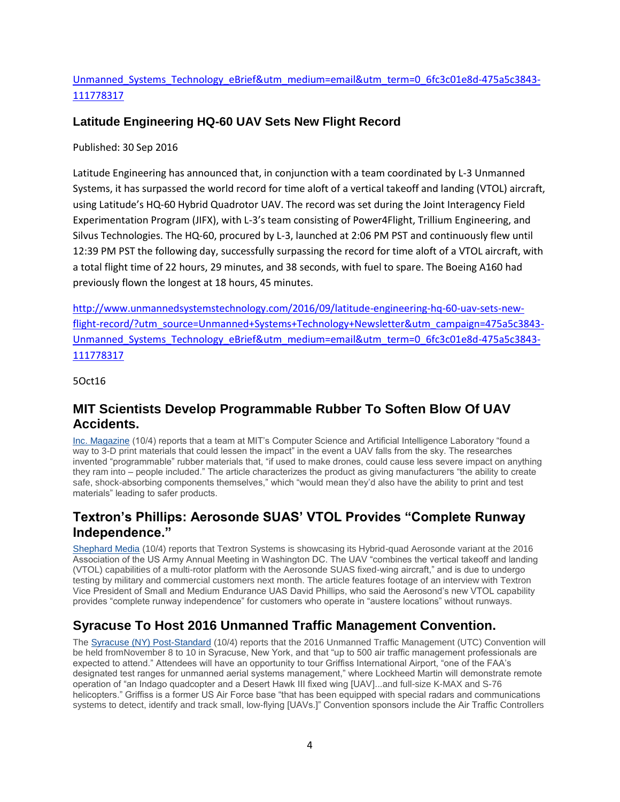#### [Unmanned\\_Systems\\_Technology\\_eBrief&utm\\_medium=email&utm\\_term=0\\_6fc3c01e8d-475a5c3843-](http://www.unmannedsystemstechnology.com/2016/10/aerialtronics-neurala-and-nvidia-demonstrate-ai-powered-drone-inspection/?utm_source=Unmanned+Systems+Technology+Newsletter&utm_campaign=475a5c3843-Unmanned_Systems_Technology_eBrief&utm_medium=email&utm_term=0_6fc3c01e8d-475a5c3843-111778317) [111778317](http://www.unmannedsystemstechnology.com/2016/10/aerialtronics-neurala-and-nvidia-demonstrate-ai-powered-drone-inspection/?utm_source=Unmanned+Systems+Technology+Newsletter&utm_campaign=475a5c3843-Unmanned_Systems_Technology_eBrief&utm_medium=email&utm_term=0_6fc3c01e8d-475a5c3843-111778317)

#### **Latitude Engineering HQ-60 UAV Sets New Flight Record**

Published: 30 Sep 2016

Latitude Engineering has announced that, in conjunction with a team coordinated by L-3 Unmanned Systems, it has surpassed the world record for time aloft of a vertical takeoff and landing (VTOL) aircraft, using Latitude's HQ-60 Hybrid Quadrotor UAV. The record was set during the Joint Interagency Field Experimentation Program (JIFX), with L-3's team consisting of Power4Flight, Trillium Engineering, and Silvus Technologies. The HQ-60, procured by L-3, launched at 2:06 PM PST and continuously flew until 12:39 PM PST the following day, successfully surpassing the record for time aloft of a VTOL aircraft, with a total flight time of 22 hours, 29 minutes, and 38 seconds, with fuel to spare. The Boeing A160 had previously flown the longest at 18 hours, 45 minutes.

[http://www.unmannedsystemstechnology.com/2016/09/latitude-engineering-hq-60-uav-sets-new](http://www.unmannedsystemstechnology.com/2016/09/latitude-engineering-hq-60-uav-sets-new-flight-record/?utm_source=Unmanned+Systems+Technology+Newsletter&utm_campaign=475a5c3843-Unmanned_Systems_Technology_eBrief&utm_medium=email&utm_term=0_6fc3c01e8d-475a5c3843-111778317)[flight-record/?utm\\_source=Unmanned+Systems+Technology+Newsletter&utm\\_campaign=475a5c3843-](http://www.unmannedsystemstechnology.com/2016/09/latitude-engineering-hq-60-uav-sets-new-flight-record/?utm_source=Unmanned+Systems+Technology+Newsletter&utm_campaign=475a5c3843-Unmanned_Systems_Technology_eBrief&utm_medium=email&utm_term=0_6fc3c01e8d-475a5c3843-111778317) [Unmanned\\_Systems\\_Technology\\_eBrief&utm\\_medium=email&utm\\_term=0\\_6fc3c01e8d-475a5c3843-](http://www.unmannedsystemstechnology.com/2016/09/latitude-engineering-hq-60-uav-sets-new-flight-record/?utm_source=Unmanned+Systems+Technology+Newsletter&utm_campaign=475a5c3843-Unmanned_Systems_Technology_eBrief&utm_medium=email&utm_term=0_6fc3c01e8d-475a5c3843-111778317) [111778317](http://www.unmannedsystemstechnology.com/2016/09/latitude-engineering-hq-60-uav-sets-new-flight-record/?utm_source=Unmanned+Systems+Technology+Newsletter&utm_campaign=475a5c3843-Unmanned_Systems_Technology_eBrief&utm_medium=email&utm_term=0_6fc3c01e8d-475a5c3843-111778317)

5Oct16

#### **MIT Scientists Develop Programmable Rubber To Soften Blow Of UAV Accidents.**

[Inc. Magazine](http://mailview.bulletinmedia.com/mailview.aspx?m=2016100501aiaa&r=2980706-4ab3&l=007-798&t=c) (10/4) reports that a team at MIT's Computer Science and Artificial Intelligence Laboratory "found a way to 3-D print materials that could lessen the impact" in the event a UAV falls from the sky. The researches invented "programmable" rubber materials that, "if used to make drones, could cause less severe impact on anything they ram into – people included." The article characterizes the product as giving manufacturers "the ability to create safe, shock-absorbing components themselves," which "would mean they'd also have the ability to print and test materials" leading to safer products.

## **Textron's Phillips: Aerosonde SUAS' VTOL Provides "Complete Runway Independence."**

[Shephard Media](http://mailview.bulletinmedia.com/mailview.aspx?m=2016100501aiaa&r=2980706-4ab3&l=008-ec1&t=c) (10/4) reports that Textron Systems is showcasing its Hybrid-quad Aerosonde variant at the 2016 Association of the US Army Annual Meeting in Washington DC. The UAV "combines the vertical takeoff and landing (VTOL) capabilities of a multi-rotor platform with the Aerosonde SUAS fixed-wing aircraft," and is due to undergo testing by military and commercial customers next month. The article features footage of an interview with Textron Vice President of Small and Medium Endurance UAS David Phillips, who said the Aerosond's new VTOL capability provides "complete runway independence" for customers who operate in "austere locations" without runways.

## **Syracuse To Host 2016 Unmanned Traffic Management Convention.**

The [Syracuse \(NY\) Post-Standard](http://mailview.bulletinmedia.com/mailview.aspx?m=2016100501aiaa&r=2980706-4ab3&l=009-dde&t=c) (10/4) reports that the 2016 Unmanned Traffic Management (UTC) Convention will be held fromNovember 8 to 10 in Syracuse, New York, and that "up to 500 air traffic management professionals are expected to attend." Attendees will have an opportunity to tour Griffiss International Airport, "one of the FAA's designated test ranges for unmanned aerial systems management," where Lockheed Martin will demonstrate remote operation of "an Indago quadcopter and a Desert Hawk III fixed wing [UAV]...and full-size K-MAX and S-76 helicopters." Griffiss is a former US Air Force base "that has been equipped with special radars and communications systems to detect, identify and track small, low-flying [UAVs.]" Convention sponsors include the Air Traffic Controllers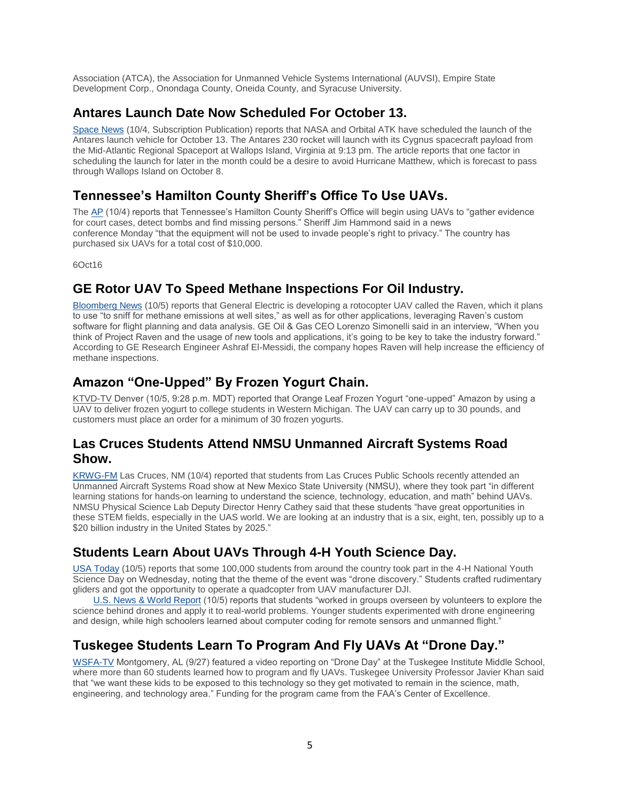Association (ATCA), the Association for Unmanned Vehicle Systems International (AUVSI), Empire State Development Corp., Onondaga County, Oneida County, and Syracuse University.

### **Antares Launch Date Now Scheduled For October 13.**

[Space News](http://mailview.bulletinmedia.com/mailview.aspx?m=2016100501aiaa&r=2980706-4ab3&l=01c-45c&t=c) (10/4, Subscription Publication) reports that NASA and Orbital ATK have scheduled the launch of the Antares launch vehicle for October 13. The Antares 230 rocket will launch with its Cygnus spacecraft payload from the Mid-Atlantic Regional Spaceport at Wallops Island, Virginia at 9:13 pm. The article reports that one factor in scheduling the launch for later in the month could be a desire to avoid Hurricane Matthew, which is forecast to pass through Wallops Island on October 8.

## **Tennessee's Hamilton County Sheriff's Office To Use UAVs.**

The [AP](http://mailview.bulletinmedia.com/mailview.aspx?m=2016100501aiaa&r=2980706-4ab3&l=022-940&t=c) (10/4) reports that Tennessee's Hamilton County Sheriff's Office will begin using UAVs to "gather evidence for court cases, detect bombs and find missing persons." Sheriff Jim Hammond said in a news conference Monday "that the equipment will not be used to invade people's right to privacy." The country has purchased six UAVs for a total cost of \$10,000.

6Oct16

## **GE Rotor UAV To Speed Methane Inspections For Oil Industry.**

[Bloomberg News](http://mailview.bulletinmedia.com/mailview.aspx?m=2016100601aiaa&r=2980706-4998&l=004-2ca&t=c) (10/5) reports that General Electric is developing a rotocopter UAV called the Raven, which it plans to use "to sniff for methane emissions at well sites," as well as for other applications, leveraging Raven's custom software for flight planning and data analysis. GE Oil & Gas CEO Lorenzo Simonelli said in an interview, "When you think of Project Raven and the usage of new tools and applications, it's going to be key to take the industry forward." According to GE Research Engineer Ashraf El-Messidi, the company hopes Raven will help increase the efficiency of methane inspections.

## **Amazon "One-Upped" By Frozen Yogurt Chain.**

KTVD-TV Denver (10/5, 9:28 p.m. MDT) reported that Orange Leaf Frozen Yogurt "one-upped" Amazon by using a UAV to deliver frozen yogurt to college students in Western Michigan. The UAV can carry up to 30 pounds, and customers must place an order for a minimum of 30 frozen yogurts.

#### **Las Cruces Students Attend NMSU Unmanned Aircraft Systems Road Show.**

[KRWG-FM](http://mailview.bulletinmedia.com/mailview.aspx?m=2016100601aiaa&r=2980706-4998&l=020-ae6&t=c) Las Cruces, NM (10/4) reported that students from Las Cruces Public Schools recently attended an Unmanned Aircraft Systems Road show at New Mexico State University (NMSU), where they took part "in different learning stations for hands-on learning to understand the science, technology, education, and math" behind UAVs. NMSU Physical Science Lab Deputy Director Henry Cathey said that these students "have great opportunities in these STEM fields, especially in the UAS world. We are looking at an industry that is a six, eight, ten, possibly up to a \$20 billion industry in the United States by 2025."

## **Students Learn About UAVs Through 4-H Youth Science Day.**

[USA Today](http://mailview.bulletinmedia.com/mailview.aspx?m=2016100601aiaa&r=2980706-4998&l=021-4a2&t=c) (10/5) reports that some 100,000 students from around the country took part in the 4-H National Youth Science Day on Wednesday, noting that the theme of the event was "drone discovery." Students crafted rudimentary gliders and got the opportunity to operate a quadcopter from UAV manufacturer DJI.

 [U.S. News & World Report](http://mailview.bulletinmedia.com/mailview.aspx?m=2016100601aiaa&r=2980706-4998&l=022-b63&t=c) (10/5) reports that students "worked in groups overseen by volunteers to explore the science behind drones and apply it to real-world problems. Younger students experimented with drone engineering and design, while high schoolers learned about computer coding for remote sensors and unmanned flight."

## **Tuskegee Students Learn To Program And Fly UAVs At "Drone Day."**

[WSFA-TV](http://mailview.bulletinmedia.com/mailview.aspx?m=2016100601aiaa&r=2980706-4998&l=023-c7d&t=c) Montgomery, AL (9/27) featured a video reporting on "Drone Day" at the Tuskegee Institute Middle School, where more than 60 students learned how to program and fly UAVs. Tuskegee University Professor Javier Khan said that "we want these kids to be exposed to this technology so they get motivated to remain in the science, math, engineering, and technology area." Funding for the program came from the FAA's Center of Excellence.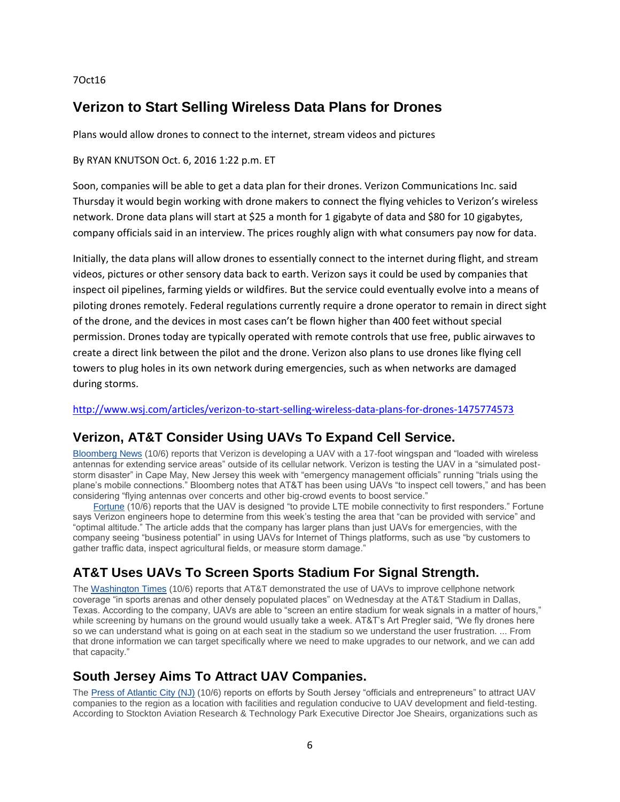#### 7Oct16

## **Verizon to Start Selling Wireless Data Plans for Drones**

Plans would allow drones to connect to the internet, stream videos and pictures

#### By RYAN KNUTSON Oct. 6, 2016 1:22 p.m. ET

Soon, companies will be able to get a data plan for their drones. Verizon Communications Inc. said Thursday it would begin working with drone makers to connect the flying vehicles to Verizon's wireless network. Drone data plans will start at \$25 a month for 1 gigabyte of data and \$80 for 10 gigabytes, company officials said in an interview. The prices roughly align with what consumers pay now for data.

Initially, the data plans will allow drones to essentially connect to the internet during flight, and stream videos, pictures or other sensory data back to earth. Verizon says it could be used by companies that inspect oil pipelines, farming yields or wildfires. But the service could eventually evolve into a means of piloting drones remotely. Federal regulations currently require a drone operator to remain in direct sight of the drone, and the devices in most cases can't be flown higher than 400 feet without special permission. Drones today are typically operated with remote controls that use free, public airwaves to create a direct link between the pilot and the drone. Verizon also plans to use drones like flying cell towers to plug holes in its own network during emergencies, such as when networks are damaged during storms.

#### <http://www.wsj.com/articles/verizon-to-start-selling-wireless-data-plans-for-drones-1475774573>

#### **Verizon, AT&T Consider Using UAVs To Expand Cell Service.**

[Bloomberg News](http://mailview.bulletinmedia.com/mailview.aspx?m=2016100701aiaa&r=2980706-c702&l=008-cb5&t=c) (10/6) reports that Verizon is developing a UAV with a 17-foot wingspan and "loaded with wireless antennas for extending service areas" outside of its cellular network. Verizon is testing the UAV in a "simulated poststorm disaster" in Cape May, New Jersey this week with "emergency management officials" running "trials using the plane's mobile connections." Bloomberg notes that AT&T has been using UAVs "to inspect cell towers," and has been considering "flying antennas over concerts and other big-crowd events to boost service."

[Fortune](http://mailview.bulletinmedia.com/mailview.aspx?m=2016100701aiaa&r=2980706-c702&l=009-369&t=c) (10/6) reports that the UAV is designed "to provide LTE mobile connectivity to first responders." Fortune says Verizon engineers hope to determine from this week's testing the area that "can be provided with service" and "optimal altitude." The article adds that the company has larger plans than just UAVs for emergencies, with the company seeing "business potential" in using UAVs for Internet of Things platforms, such as use "by customers to gather traffic data, inspect agricultural fields, or measure storm damage."

### **AT&T Uses UAVs To Screen Sports Stadium For Signal Strength.**

The [Washington Times](http://mailview.bulletinmedia.com/mailview.aspx?m=2016100701aiaa&r=2980706-c702&l=00a-469&t=c) (10/6) reports that AT&T demonstrated the use of UAVs to improve cellphone network coverage "in sports arenas and other densely populated places" on Wednesday at the AT&T Stadium in Dallas, Texas. According to the company, UAVs are able to "screen an entire stadium for weak signals in a matter of hours," while screening by humans on the ground would usually take a week. AT&T's Art Pregler said, "We fly drones here so we can understand what is going on at each seat in the stadium so we understand the user frustration. ... From that drone information we can target specifically where we need to make upgrades to our network, and we can add that capacity."

#### **South Jersey Aims To Attract UAV Companies.**

The [Press of Atlantic City \(NJ\)](http://mailview.bulletinmedia.com/mailview.aspx?m=2016100701aiaa&r=2980706-c702&l=00b-d66&t=c) (10/6) reports on efforts by South Jersey "officials and entrepreneurs" to attract UAV companies to the region as a location with facilities and regulation conducive to UAV development and field-testing. According to Stockton Aviation Research & Technology Park Executive Director Joe Sheairs, organizations such as